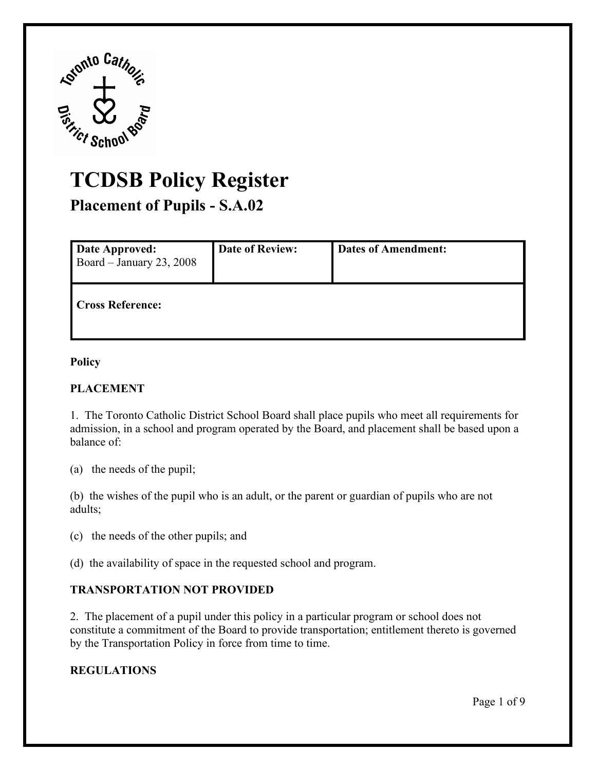

# **TCDSB Policy Register**

| <b>Placement of Pupils - S.A.02</b>               |                        |                            |  |
|---------------------------------------------------|------------------------|----------------------------|--|
| <b>Date Approved:</b><br>Board - January 23, 2008 | <b>Date of Review:</b> | <b>Dates of Amendment:</b> |  |
| <b>Cross Reference:</b>                           |                        |                            |  |

#### **Policy**

### **PLACEMENT**

1. The Toronto Catholic District School Board shall place pupils who meet all requirements for admission, in a school and program operated by the Board, and placement shall be based upon a balance of:

(a) the needs of the pupil;

(b) the wishes of the pupil who is an adult, or the parent or guardian of pupils who are not adults;

(c) the needs of the other pupils; and

(d) the availability of space in the requested school and program.

## **TRANSPORTATION NOT PROVIDED**

2. The placement of a pupil under this policy in a particular program or school does not constitute a commitment of the Board to provide transportation; entitlement thereto is governed by the Transportation Policy in force from time to time.

### **REGULATIONS**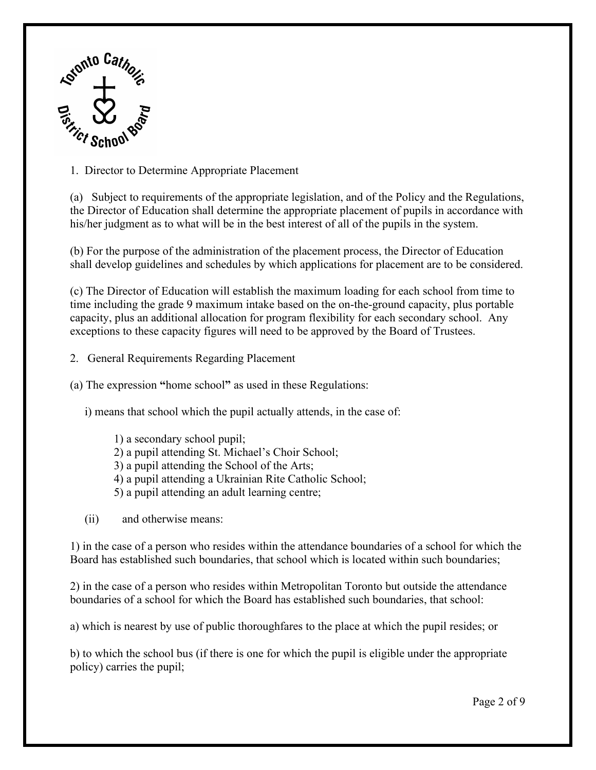

1. Director to Determine Appropriate Placement

(a) Subject to requirements of the appropriate legislation, and of the Policy and the Regulations, the Director of Education shall determine the appropriate placement of pupils in accordance with his/her judgment as to what will be in the best interest of all of the pupils in the system.

 shall develop guidelines and schedules by which applications for placement are to be considered. (b) For the purpose of the administration of the placement process, the Director of Education

(c) The Director of Education will establish the maximum loading for each school from time to time including the grade 9 maximum intake based on the on-the-ground capacity, plus portable capacity, plus an additional allocation for program flexibility for each secondary school. Any exceptions to these capacity figures will need to be approved by the Board of Trustees.

2. General Requirements Regarding Placement

(a) The expression **"**home school**"** as used in these Regulations:

i) means that school which the pupil actually attends, in the case of:

- 1) a secondary school pupil; 2) a pupil attending St. Michael's Choir School; 3) a pupil attending the School of the Arts; 4) a pupil attending a Ukrainian Rite Catholic School; 5) a pupil attending an adult learning centre;
- (ii) and otherwise means:

1) in the case of a person who resides within the attendance boundaries of a school for which the Board has established such boundaries, that school which is located within such boundaries;

2) in the case of a person who resides within Metropolitan Toronto but outside the attendance boundaries of a school for which the Board has established such boundaries, that school:

a) which is nearest by use of public thoroughfares to the place at which the pupil resides; or

b) to which the school bus (if there is one for which the pupil is eligible under the appropriate policy) carries the pupil;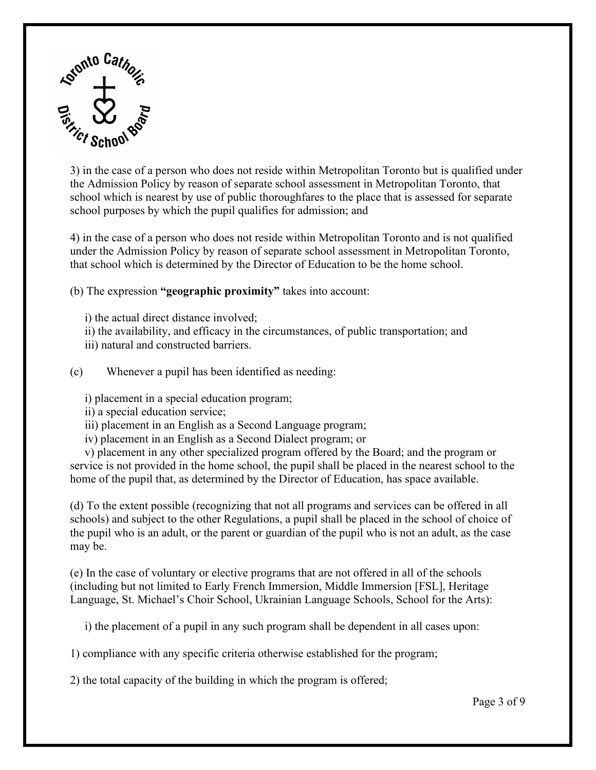

3) in the case of a person who does not reside within Metropolitan Toronto but is qualified under the Admission Policy by reason of separate school assessment in Metropolitan Toronto, that school which is nearest by use of public thoroughfares to the place that is assessed for separate school purposes by which the pupil qualifies for admission; and

4) in the case of a person who does not reside within Metropolitan Toronto and is not qualified under the Admission Policy by reason of separate school assessment in Metropolitan Toronto, that school which is determined by the Director of Education to be the home school.

(b) The expression **"geographic proximity"** takes into account:

- i) the actual direct distance involved;
- ii) the availability, and efficacy in the circumstances, of public transportation; and
- iii) natural and constructed barriers.

(c) Whenever a pupil has been identified as needing:

i) placement in a special education program;

- ii) a special education service;
- iii) placement in an English as a Second Language program;
- iv) placement in an English as a Second Dialect program; or

 v) placement in any other specialized program offered by the Board; and the program or service is not provided in the home school, the pupil shall be placed in the nearest school to the home of the pupil that, as determined by the Director of Education, has space available.

(d) To the extent possible (recognizing that not all programs and services can be offered in all schools) and subject to the other Regulations, a pupil shall be placed in the school of choice of the pupil who is an adult, or the parent or guardian of the pupil who is not an adult, as the case may be.

 (e) In the case of voluntary or elective programs that are not offered in all of the schools (including but not limited to Early French Immersion, Middle Immersion [FSL], Heritage Language, St. Michael's Choir School, Ukrainian Language Schools, School for the Arts):

i) the placement of a pupil in any such program shall be dependent in all cases upon:

1) compliance with any specific criteria otherwise established for the program;

2) the total capacity of the building in which the program is offered;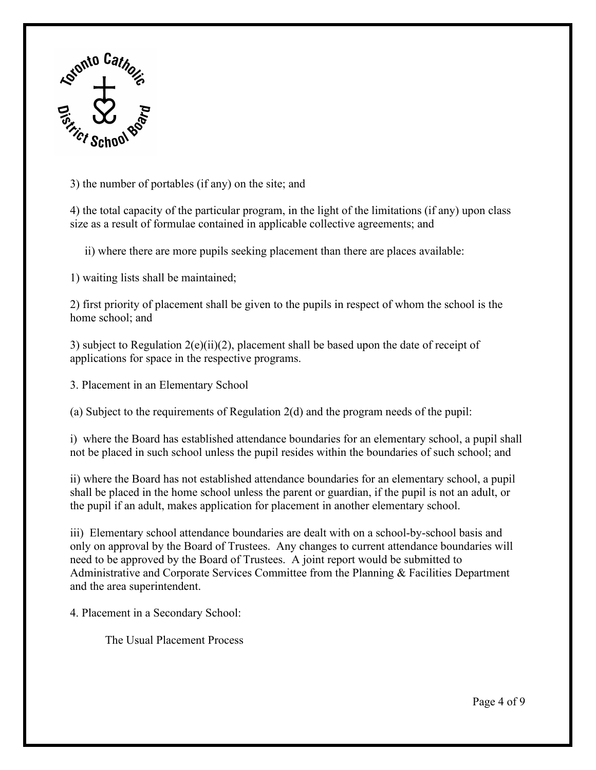

3) the number of portables (if any) on the site; and

4) the total capacity of the particular program, in the light of the limitations (if any) upon class size as a result of formulae contained in applicable collective agreements; and

ii) where there are more pupils seeking placement than there are places available:

1) waiting lists shall be maintained;

2) first priority of placement shall be given to the pupils in respect of whom the school is the home school; and

 3) subject to Regulation 2(e)(ii)(2), placement shall be based upon the date of receipt of applications for space in the respective programs.

3. Placement in an Elementary School

(a) Subject to the requirements of Regulation 2(d) and the program needs of the pupil:

i) where the Board has established attendance boundaries for an elementary school, a pupil shall not be placed in such school unless the pupil resides within the boundaries of such school; and

ii) where the Board has not established attendance boundaries for an elementary school, a pupil shall be placed in the home school unless the parent or guardian, if the pupil is not an adult, or the pupil if an adult, makes application for placement in another elementary school.

 iii) Elementary school attendance boundaries are dealt with on a school-by-school basis and only on approval by the Board of Trustees. Any changes to current attendance boundaries will need to be approved by the Board of Trustees. A joint report would be submitted to Administrative and Corporate Services Committee from the Planning & Facilities Department and the area superintendent.

4. Placement in a Secondary School:

The Usual Placement Process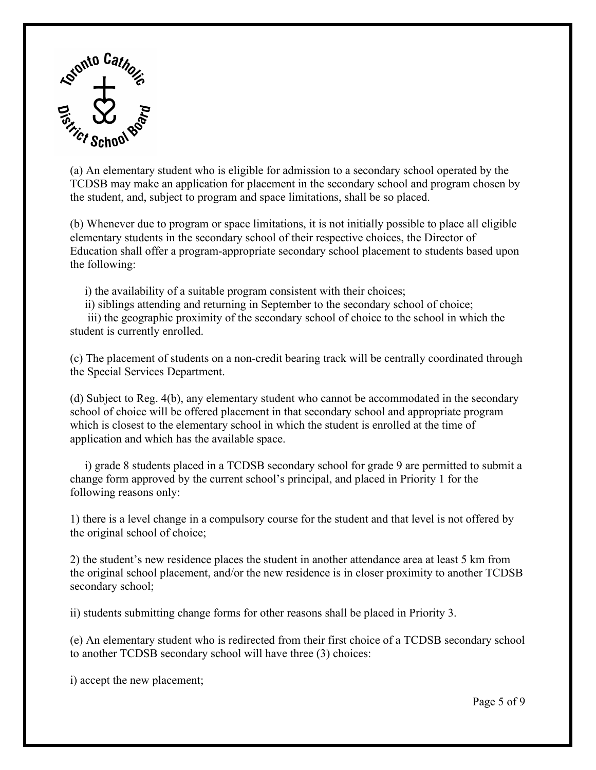

(a) An elementary student who is eligible for admission to a secondary school operated by the TCDSB may make an application for placement in the secondary school and program chosen by the student, and, subject to program and space limitations, shall be so placed.

 (b) Whenever due to program or space limitations, it is not initially possible to place all eligible elementary students in the secondary school of their respective choices, the Director of the following: Education shall offer a program-appropriate secondary school placement to students based upon

i) the availability of a suitable program consistent with their choices;

ii) siblings attending and returning in September to the secondary school of choice;

iii) the geographic proximity of the secondary school of choice to the school in which the student is currently enrolled.

(c) The placement of students on a non-credit bearing track will be centrally coordinated through the Special Services Department.

application and which has the available space. (d) Subject to Reg. 4(b), any elementary student who cannot be accommodated in the secondary school of choice will be offered placement in that secondary school and appropriate program which is closest to the elementary school in which the student is enrolled at the time of

following reasons only: i) grade 8 students placed in a TCDSB secondary school for grade 9 are permitted to submit a change form approved by the current school's principal, and placed in Priority 1 for the

1) there is a level change in a compulsory course for the student and that level is not offered by the original school of choice;

secondary school; 2) the student's new residence places the student in another attendance area at least 5 km from the original school placement, and/or the new residence is in closer proximity to another TCDSB

ii) students submitting change forms for other reasons shall be placed in Priority 3.

 to another TCDSB secondary school will have three (3) choices: (e) An elementary student who is redirected from their first choice of a TCDSB secondary school

i) accept the new placement;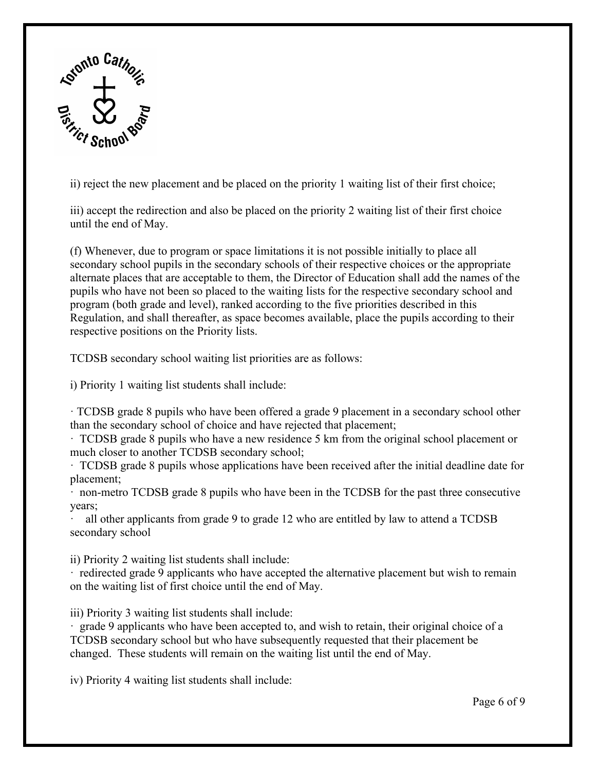

ii) reject the new placement and be placed on the priority 1 waiting list of their first choice;

iii) accept the redirection and also be placed on the priority 2 waiting list of their first choice until the end of May.

(f) Whenever, due to program or space limitations it is not possible initially to place all secondary school pupils in the secondary schools of their respective choices or the appropriate alternate places that are acceptable to them, the Director of Education shall add the names of the pupils who have not been so placed to the waiting lists for the respective secondary school and program (both grade and level), ranked according to the five priorities described in this Regulation, and shall thereafter, as space becomes available, place the pupils according to their respective positions on the Priority lists.

TCDSB secondary school waiting list priorities are as follows:

i) Priority 1 waiting list students shall include:

TCDSB grade 8 pupils who have been offered a grade 9 placement in a secondary school other than the secondary school of choice and have rejected that placement;

· TCDSB grade 8 pupils who have a new residence 5 km from the original school placement or much closer to another TCDSB secondary school;

· TCDSB grade 8 pupils whose applications have been received after the initial deadline date for placement;

· non-metro TCDSB grade 8 pupils who have been in the TCDSB for the past three consecutive years;

secondary school all other applicants from grade 9 to grade 12 who are entitled by law to attend a TCDSB

ii) Priority 2 waiting list students shall include:

secondary school<br>ii) Priority 2 waiting list students shall include:<br>· redirected grade 9 applicants who have accepted the alternative placement but wish to remain on the waiting list of first choice until the end of May.

iii) Priority 3 waiting list students shall include:

iii) Priority 3 waiting list students shall include:<br>· grade 9 applicants who have been accepted to, and wish to retain, their original choice of a changed. These students will remain on the waiting list until the end of May.<br>iv) Priority 4 waiting list students shall include: Page 6 of 9 TCDSB secondary school but who have subsequently requested that their placement be

iv) Priority 4 waiting list students shall include: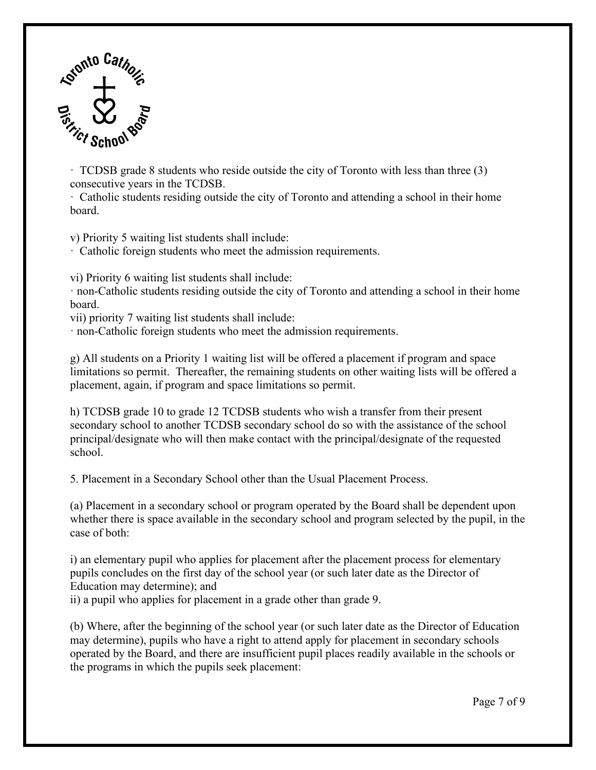

 consecutive years in the TCDSB.  $\cdot$  TCDSB grade 8 students who reside outside the city of Toronto with less than three (3)

 · Catholic students residing outside the city of Toronto and attending a school in their home board.

v) Priority 5 waiting list students shall include:

v) Catholic foreign students who meet the admission requirements.

vi) Priority 6 waiting list students shall include:

 $\cdot$  non-Catholic students residing outside the city of Toronto and attending a school in their home board.

vii) priority 7 waiting list students shall include:

· non-Catholic foreign students who meet the admission requirements.

placement, again, if program and space limitations so permit. g) All students on a Priority 1 waiting list will be offered a placement if program and space limitations so permit. Thereafter, the remaining students on other waiting lists will be offered a

h) TCDSB grade 10 to grade 12 TCDSB students who wish a transfer from their present secondary school to another TCDSB secondary school do so with the assistance of the school principal/designate who will then make contact with the principal/designate of the requested school.

5. Placement in a Secondary School other than the Usual Placement Process.

(a) Placement in a secondary school or program operated by the Board shall be dependent upon whether there is space available in the secondary school and program selected by the pupil, in the case of both:

i) an elementary pupil who applies for placement after the placement process for elementary pupils concludes on the first day of the school year (or such later date as the Director of Education may determine); and

ii) a pupil who applies for placement in a grade other than grade 9.

 (b) Where, after the beginning of the school year (or such later date as the Director of Education may determine), pupils who have a right to attend apply for placement in secondary schools operated by the Board, and there are insufficient pupil places readily available in the schools or the programs in which the pupils seek placement: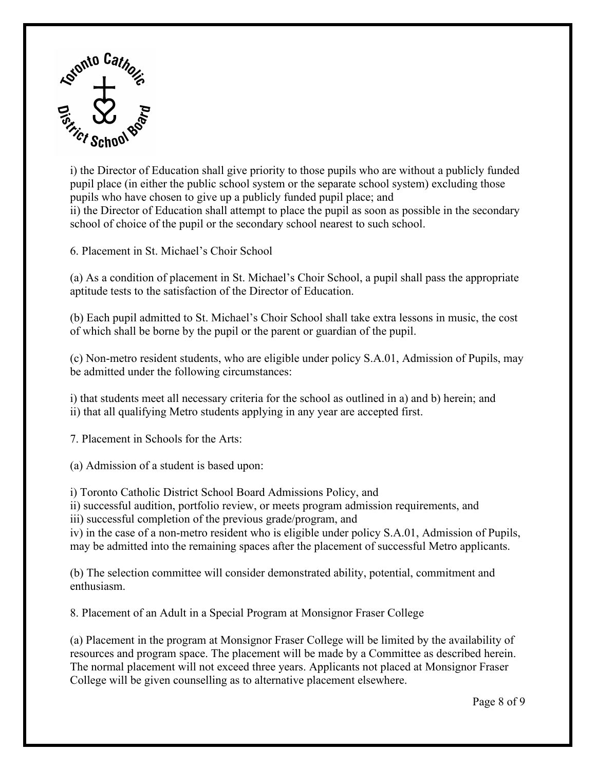

i) the Director of Education shall give priority to those pupils who are without a publicly funded pupil place (in either the public school system or the separate school system) excluding those pupils who have chosen to give up a publicly funded pupil place; and ii) the Director of Education shall attempt to place the pupil as soon as possible in the secondary school of choice of the pupil or the secondary school nearest to such school.

6. Placement in St. Michael's Choir School

(a) As a condition of placement in St. Michael's Choir School, a pupil shall pass the appropriate aptitude tests to the satisfaction of the Director of Education.

(b) Each pupil admitted to St. Michael's Choir School shall take extra lessons in music, the cost of which shall be borne by the pupil or the parent or guardian of the pupil.

(c) Non-metro resident students, who are eligible under policy S.A.01, Admission of Pupils, may be admitted under the following circumstances:

i) that students meet all necessary criteria for the school as outlined in a) and b) herein; and ii) that all qualifying Metro students applying in any year are accepted first.

7. Placement in Schools for the Arts:

(a) Admission of a student is based upon:

i) Toronto Catholic District School Board Admissions Policy, and

ii) successful audition, portfolio review, or meets program admission requirements, and

iii) successful completion of the previous grade/program, and

 may be admitted into the remaining spaces after the placement of successful Metro applicants. iv) in the case of a non-metro resident who is eligible under policy S.A.01, Admission of Pupils,

(b) The selection committee will consider demonstrated ability, potential, commitment and enthusiasm.

8. Placement of an Adult in a Special Program at Monsignor Fraser College

 (a) Placement in the program at Monsignor Fraser College will be limited by the availability of resources and program space. The placement will be made by a Committee as described herein. The normal placement will not exceed three years. Applicants not placed at Monsignor Fraser College will be given counselling as to alternative placement elsewhere.